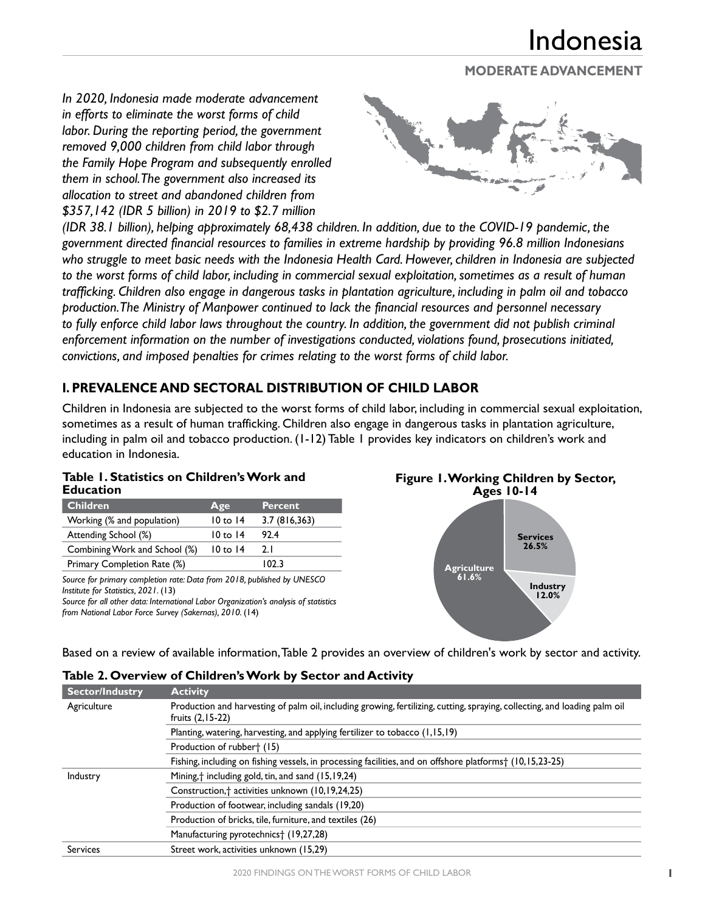### **MODERATE ADVANCEMENT**

*In 2020, Indonesia made moderate advancement in efforts to eliminate the worst forms of child labor. During the reporting period, the government removed 9,000 children from child labor through the Family Hope Program and subsequently enrolled them in school. The government also increased its allocation to street and abandoned children from \$357,142 (IDR 5 billion) in 2019 to \$2.7 million* 



*(IDR 38.1 billion), helping approximately 68,438 children. In addition, due to the COVID-19 pandemic, the government directed financial resources to families in extreme hardship by providing 96.8 million Indonesians who struggle to meet basic needs with the Indonesia Health Card. However, children in Indonesia are subjected to the worst forms of child labor, including in commercial sexual exploitation, sometimes as a result of human trafficking. Children also engage in dangerous tasks in plantation agriculture, including in palm oil and tobacco production. The Ministry of Manpower continued to lack the financial resources and personnel necessary*  to fully enforce child labor laws throughout the country. In addition, the government did not publish criminal *enforcement information on the number of investigations conducted, violations found, prosecutions initiated, convictions, and imposed penalties for crimes relating to the worst forms of child labor.*

## **I. PREVALENCE AND SECTORAL DISTRIBUTION OF CHILD LABOR**

Children in Indonesia are subjected to the worst forms of child labor, including in commercial sexual exploitation, sometimes as a result of human trafficking. Children also engage in dangerous tasks in plantation agriculture, including in palm oil and tobacco production. (1-12) Table 1 provides key indicators on children's work and education in Indonesia.

#### **Table 1. Statistics on Children's Work and Education**

| <b>Children</b>               | Age          | <b>Percent</b> |
|-------------------------------|--------------|----------------|
| Working (% and population)    | $10$ to $14$ | 3.7(816,363)   |
| Attending School (%)          | $10$ to $14$ | 92.4           |
| Combining Work and School (%) | $10$ to $14$ | 2. I           |
| Primary Completion Rate (%)   |              | 102 3          |

*Source for primary completion rate: Data from 2018, published by UNESCO Institute for Statistics, 2021.* (13)

*Source for all other data: International Labor Organization's analysis of statistics from National Labor Force Survey (Sakernas), 2010.* (14)





Based on a review of available information, Table 2 provides an overview of children's work by sector and activity.

| <b>Sector/Industry</b> | <b>Activity</b>                                                                                                                                  |
|------------------------|--------------------------------------------------------------------------------------------------------------------------------------------------|
| Agriculture            | Production and harvesting of palm oil, including growing, fertilizing, cutting, spraying, collecting, and loading palm oil<br>fruits $(2,15-22)$ |
|                        | Planting, watering, harvesting, and applying fertilizer to tobacco (1,15,19)                                                                     |
|                        | Production of rubber <sup>+</sup> (15)                                                                                                           |
|                        | Fishing, including on fishing vessels, in processing facilities, and on offshore platforms† (10,15,23-25)                                        |
| Industry               | Mining, <sup>+</sup> including gold, tin, and sand (15,19,24)                                                                                    |
|                        | Construction, <sup>†</sup> activities unknown (10,19,24,25)                                                                                      |
|                        | Production of footwear, including sandals (19,20)                                                                                                |
|                        | Production of bricks, tile, furniture, and textiles (26)                                                                                         |
|                        | Manufacturing pyrotechnics <sup>+</sup> (19,27,28)                                                                                               |
| <b>Services</b>        | Street work, activities unknown (15,29)                                                                                                          |

#### **Table 2. Overview of Children's Work by Sector and Activity**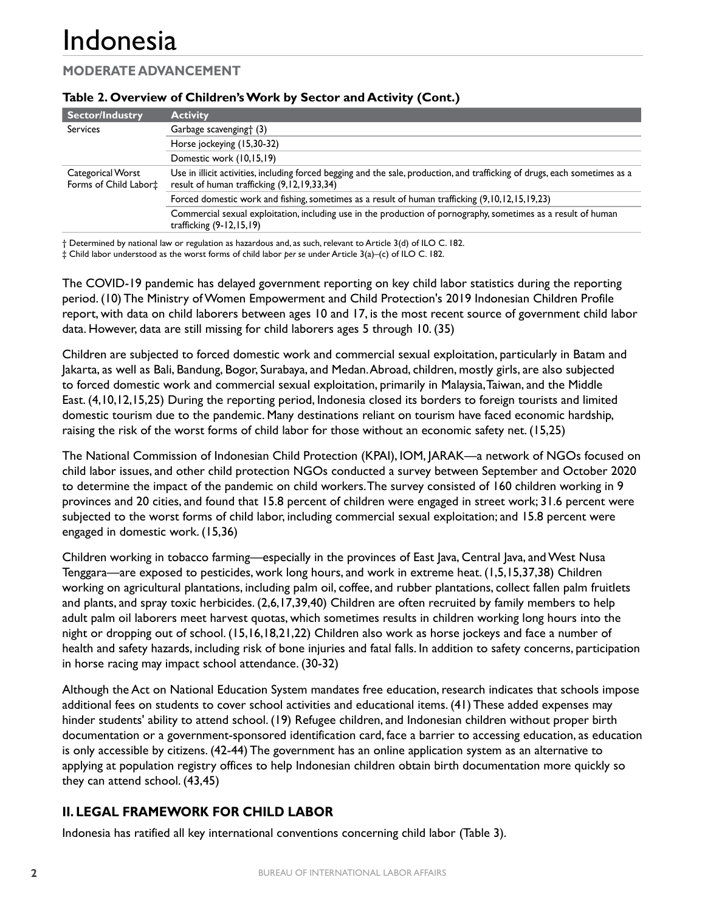## **MODERATE ADVANCEMENT**

| Sector/Industry                            | <b>Activity</b>                                                                                                                                                            |
|--------------------------------------------|----------------------------------------------------------------------------------------------------------------------------------------------------------------------------|
| <b>Services</b>                            | Garbage scavenging† (3)                                                                                                                                                    |
|                                            | Horse jockeying (15,30-32)                                                                                                                                                 |
|                                            | Domestic work (10,15,19)                                                                                                                                                   |
| Categorical Worst<br>Forms of Child Labor‡ | Use in illicit activities, including forced begging and the sale, production, and trafficking of drugs, each sometimes as a<br>result of human trafficking (9,12,19,33,34) |
|                                            | Forced domestic work and fishing, sometimes as a result of human trafficking (9,10,12,15,19,23)                                                                            |
|                                            | Commercial sexual exploitation, including use in the production of pornography, sometimes as a result of human<br>trafficking (9-12, 15, 19)                               |

#### **Table 2. Overview of Children's Work by Sector and Activity (Cont.)**

† Determined by national law or regulation as hazardous and, as such, relevant to Article 3(d) of ILO C. 182.

‡ Child labor understood as the worst forms of child labor *per se* under Article 3(a)–(c) of ILO C. 182.

The COVID-19 pandemic has delayed government reporting on key child labor statistics during the reporting period. (10) The Ministry of Women Empowerment and Child Protection's 2019 Indonesian Children Profile report, with data on child laborers between ages 10 and 17, is the most recent source of government child labor data. However, data are still missing for child laborers ages 5 through 10. (35)

Children are subjected to forced domestic work and commercial sexual exploitation, particularly in Batam and Jakarta, as well as Bali, Bandung, Bogor, Surabaya, and Medan. Abroad, children, mostly girls, are also subjected to forced domestic work and commercial sexual exploitation, primarily in Malaysia, Taiwan, and the Middle East. (4,10,12,15,25) During the reporting period, Indonesia closed its borders to foreign tourists and limited domestic tourism due to the pandemic. Many destinations reliant on tourism have faced economic hardship, raising the risk of the worst forms of child labor for those without an economic safety net. (15,25)

The National Commission of Indonesian Child Protection (KPAI), IOM, JARAK—a network of NGOs focused on child labor issues, and other child protection NGOs conducted a survey between September and October 2020 to determine the impact of the pandemic on child workers. The survey consisted of 160 children working in 9 provinces and 20 cities, and found that 15.8 percent of children were engaged in street work; 31.6 percent were subjected to the worst forms of child labor, including commercial sexual exploitation; and 15.8 percent were engaged in domestic work. (15,36)

Children working in tobacco farming—especially in the provinces of East Java, Central Java, and West Nusa Tenggara—are exposed to pesticides, work long hours, and work in extreme heat. (1,5,15,37,38) Children working on agricultural plantations, including palm oil, coffee, and rubber plantations, collect fallen palm fruitlets and plants, and spray toxic herbicides. (2,6,17,39,40) Children are often recruited by family members to help adult palm oil laborers meet harvest quotas, which sometimes results in children working long hours into the night or dropping out of school. (15,16,18,21,22) Children also work as horse jockeys and face a number of health and safety hazards, including risk of bone injuries and fatal falls. In addition to safety concerns, participation in horse racing may impact school attendance. (30-32)

Although the Act on National Education System mandates free education, research indicates that schools impose additional fees on students to cover school activities and educational items. (41) These added expenses may hinder students' ability to attend school. (19) Refugee children, and Indonesian children without proper birth documentation or a government-sponsored identification card, face a barrier to accessing education, as education is only accessible by citizens. (42-44) The government has an online application system as an alternative to applying at population registry offices to help Indonesian children obtain birth documentation more quickly so they can attend school. (43,45)

## **II. LEGAL FRAMEWORK FOR CHILD LABOR**

Indonesia has ratified all key international conventions concerning child labor (Table 3).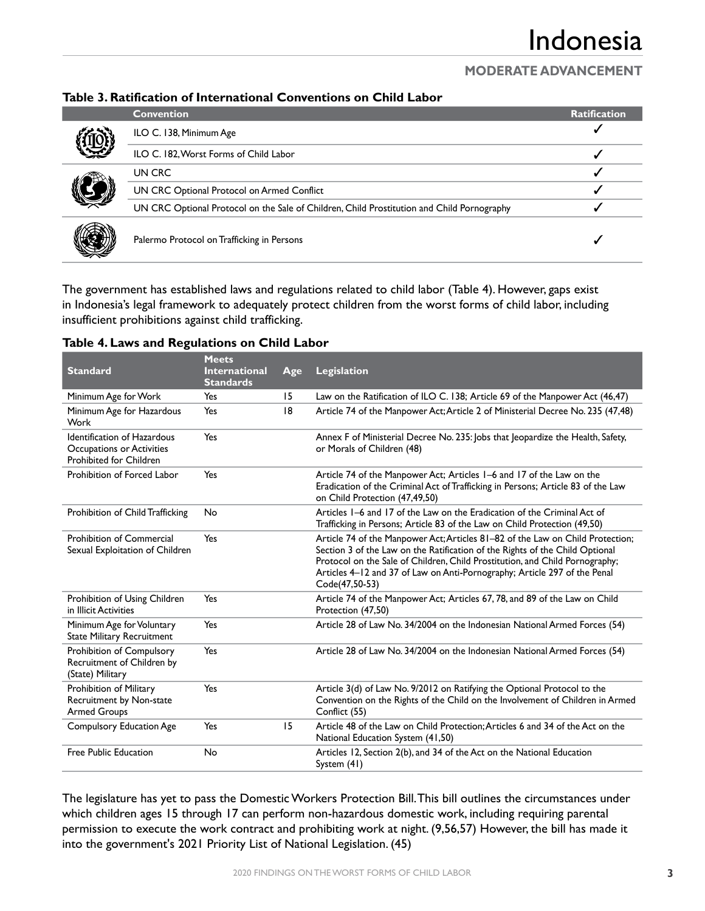## **MODERATE ADVANCEMENT**

#### **Table 3. Ratification of International Conventions on Child Labor**

| <b>Convention</b>                                                                          | <b>Ratification</b> |
|--------------------------------------------------------------------------------------------|---------------------|
| ILO C. 138, Minimum Age                                                                    |                     |
| ILO C. 182, Worst Forms of Child Labor                                                     |                     |
| UN CRC                                                                                     |                     |
| UN CRC Optional Protocol on Armed Conflict                                                 |                     |
| UN CRC Optional Protocol on the Sale of Children, Child Prostitution and Child Pornography |                     |
| Palermo Protocol on Trafficking in Persons                                                 |                     |

The government has established laws and regulations related to child labor (Table 4). However, gaps exist in Indonesia's legal framework to adequately protect children from the worst forms of child labor, including insufficient prohibitions against child trafficking.

#### **Table 4. Laws and Regulations on Child Labor**

|                                                                                                   | <b>Meets</b>                             |     |                                                                                                                                                                                                                                                                                                                                               |
|---------------------------------------------------------------------------------------------------|------------------------------------------|-----|-----------------------------------------------------------------------------------------------------------------------------------------------------------------------------------------------------------------------------------------------------------------------------------------------------------------------------------------------|
| <b>Standard</b>                                                                                   | <b>International</b><br><b>Standards</b> | Age | <b>Legislation</b>                                                                                                                                                                                                                                                                                                                            |
| Minimum Age for Work                                                                              | Yes                                      | 15  | Law on the Ratification of ILO C. 138; Article 69 of the Manpower Act (46,47)                                                                                                                                                                                                                                                                 |
| Minimum Age for Hazardous<br>Work                                                                 | Yes                                      | 8   | Article 74 of the Manpower Act; Article 2 of Ministerial Decree No. 235 (47,48)                                                                                                                                                                                                                                                               |
| <b>Identification of Hazardous</b><br>Occupations or Activities<br><b>Prohibited for Children</b> | Yes                                      |     | Annex F of Ministerial Decree No. 235: Jobs that Jeopardize the Health, Safety,<br>or Morals of Children (48)                                                                                                                                                                                                                                 |
| Prohibition of Forced Labor                                                                       | Yes                                      |     | Article 74 of the Manpower Act; Articles 1–6 and 17 of the Law on the<br>Eradication of the Criminal Act of Trafficking in Persons; Article 83 of the Law<br>on Child Protection (47,49,50)                                                                                                                                                   |
| Prohibition of Child Trafficking                                                                  | No                                       |     | Articles 1–6 and 17 of the Law on the Eradication of the Criminal Act of<br>Trafficking in Persons; Article 83 of the Law on Child Protection (49,50)                                                                                                                                                                                         |
| Prohibition of Commercial<br>Sexual Exploitation of Children                                      | Yes                                      |     | Article 74 of the Manpower Act; Articles 81–82 of the Law on Child Protection;<br>Section 3 of the Law on the Ratification of the Rights of the Child Optional<br>Protocol on the Sale of Children, Child Prostitution, and Child Pornography;<br>Articles 4-12 and 37 of Law on Anti-Pornography; Article 297 of the Penal<br>Code(47,50-53) |
| Prohibition of Using Children<br>in Illicit Activities                                            | Yes                                      |     | Article 74 of the Manpower Act; Articles 67, 78, and 89 of the Law on Child<br>Protection (47,50)                                                                                                                                                                                                                                             |
| Minimum Age for Voluntary<br><b>State Military Recruitment</b>                                    | Yes                                      |     | Article 28 of Law No. 34/2004 on the Indonesian National Armed Forces (54)                                                                                                                                                                                                                                                                    |
| Prohibition of Compulsory<br>Recruitment of Children by<br>(State) Military                       | Yes                                      |     | Article 28 of Law No. 34/2004 on the Indonesian National Armed Forces (54)                                                                                                                                                                                                                                                                    |
| Prohibition of Military<br>Recruitment by Non-state<br><b>Armed Groups</b>                        | Yes                                      |     | Article 3(d) of Law No. 9/2012 on Ratifying the Optional Protocol to the<br>Convention on the Rights of the Child on the Involvement of Children in Armed<br>Conflict (55)                                                                                                                                                                    |
| Compulsory Education Age                                                                          | Yes                                      | 15  | Article 48 of the Law on Child Protection; Articles 6 and 34 of the Act on the<br>National Education System (41,50)                                                                                                                                                                                                                           |
| Free Public Education                                                                             | No                                       |     | Articles 12, Section 2(b), and 34 of the Act on the National Education<br>System (41)                                                                                                                                                                                                                                                         |

The legislature has yet to pass the Domestic Workers Protection Bill. This bill outlines the circumstances under which children ages 15 through 17 can perform non-hazardous domestic work, including requiring parental permission to execute the work contract and prohibiting work at night. (9,56,57) However, the bill has made it into the government's 2021 Priority List of National Legislation. (45)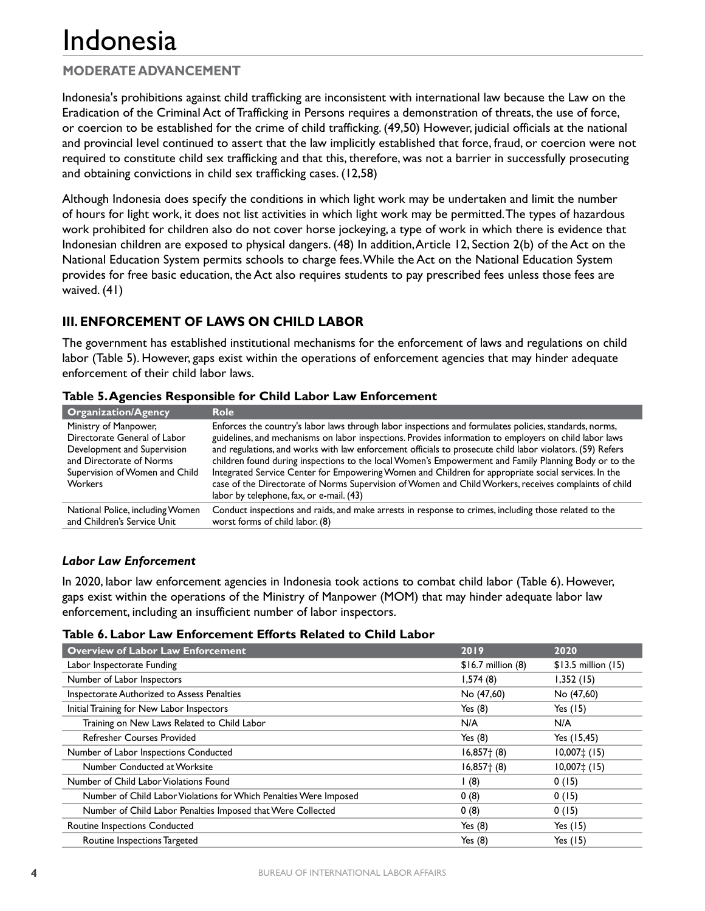## **MODERATE ADVANCEMENT**

Indonesia's prohibitions against child trafficking are inconsistent with international law because the Law on the Eradication of the Criminal Act of Trafficking in Persons requires a demonstration of threats, the use of force, or coercion to be established for the crime of child trafficking. (49,50) However, judicial officials at the national and provincial level continued to assert that the law implicitly established that force, fraud, or coercion were not required to constitute child sex trafficking and that this, therefore, was not a barrier in successfully prosecuting and obtaining convictions in child sex trafficking cases. (12,58)

Although Indonesia does specify the conditions in which light work may be undertaken and limit the number of hours for light work, it does not list activities in which light work may be permitted. The types of hazardous work prohibited for children also do not cover horse jockeying, a type of work in which there is evidence that Indonesian children are exposed to physical dangers. (48) In addition, Article 12, Section 2(b) of the Act on the National Education System permits schools to charge fees. While the Act on the National Education System provides for free basic education, the Act also requires students to pay prescribed fees unless those fees are waived. (41)

## **III. ENFORCEMENT OF LAWS ON CHILD LABOR**

The government has established institutional mechanisms for the enforcement of laws and regulations on child labor (Table 5). However, gaps exist within the operations of enforcement agencies that may hinder adequate enforcement of their child labor laws.

| <b>Organization/Agency</b>                                                                                                                                           | <b>Role</b>                                                                                                                                                                                                                                                                                                                                                                                                                                                                                                                                                                                                                                                                                        |
|----------------------------------------------------------------------------------------------------------------------------------------------------------------------|----------------------------------------------------------------------------------------------------------------------------------------------------------------------------------------------------------------------------------------------------------------------------------------------------------------------------------------------------------------------------------------------------------------------------------------------------------------------------------------------------------------------------------------------------------------------------------------------------------------------------------------------------------------------------------------------------|
| Ministry of Manpower,<br>Directorate General of Labor<br>Development and Supervision<br>and Directorate of Norms<br>Supervision of Women and Child<br><b>Workers</b> | Enforces the country's labor laws through labor inspections and formulates policies, standards, norms,<br>guidelines, and mechanisms on labor inspections. Provides information to employers on child labor laws<br>and regulations, and works with law enforcement officials to prosecute child labor violators. (59) Refers<br>children found during inspections to the local Women's Empowerment and Family Planning Body or to the<br>Integrated Service Center for Empowering Women and Children for appropriate social services. In the<br>case of the Directorate of Norms Supervision of Women and Child Workers, receives complaints of child<br>labor by telephone, fax, or e-mail. (43) |
| National Police, including Women<br>and Children's Service Unit                                                                                                      | Conduct inspections and raids, and make arrests in response to crimes, including those related to the<br>worst forms of child labor. (8)                                                                                                                                                                                                                                                                                                                                                                                                                                                                                                                                                           |

**Table 5. Agencies Responsible for Child Labor Law Enforcement**

#### *Labor Law Enforcement*

In 2020, labor law enforcement agencies in Indonesia took actions to combat child labor (Table 6). However, gaps exist within the operations of the Ministry of Manpower (MOM) that may hinder adequate labor law enforcement, including an insufficient number of labor inspectors.

#### **Table 6. Labor Law Enforcement Efforts Related to Child Labor**

| <b>Overview of Labor Law Enforcement</b>                          | 2019                  | 2020                   |
|-------------------------------------------------------------------|-----------------------|------------------------|
| Labor Inspectorate Funding                                        | $$16.7$ million $(8)$ | $$13.5$ million $(15)$ |
| Number of Labor Inspectors                                        | 1,574(8)              | 1,352(15)              |
| Inspectorate Authorized to Assess Penalties                       | No (47,60)            | No (47,60)             |
| Initial Training for New Labor Inspectors                         | Yes $(8)$             | Yes $(15)$             |
| Training on New Laws Related to Child Labor                       | N/A                   | N/A                    |
| <b>Refresher Courses Provided</b>                                 | Yes $(8)$             | Yes $(15, 45)$         |
| Number of Labor Inspections Conducted                             | $16,857$ $(8)$        | $10,007 \pm (15)$      |
| Number Conducted at Worksite                                      | $16,857$ $(8)$        | $10,007 \pm (15)$      |
| Number of Child Labor Violations Found                            | $\mathsf{I}$ (8)      | 0(15)                  |
| Number of Child Labor Violations for Which Penalties Were Imposed | 0(8)                  | 0(15)                  |
| Number of Child Labor Penalties Imposed that Were Collected       | 0(8)                  | 0(15)                  |
| Routine Inspections Conducted                                     | Yes $(8)$             | Yes $(15)$             |
| Routine Inspections Targeted                                      | Yes $(8)$             | Yes $(15)$             |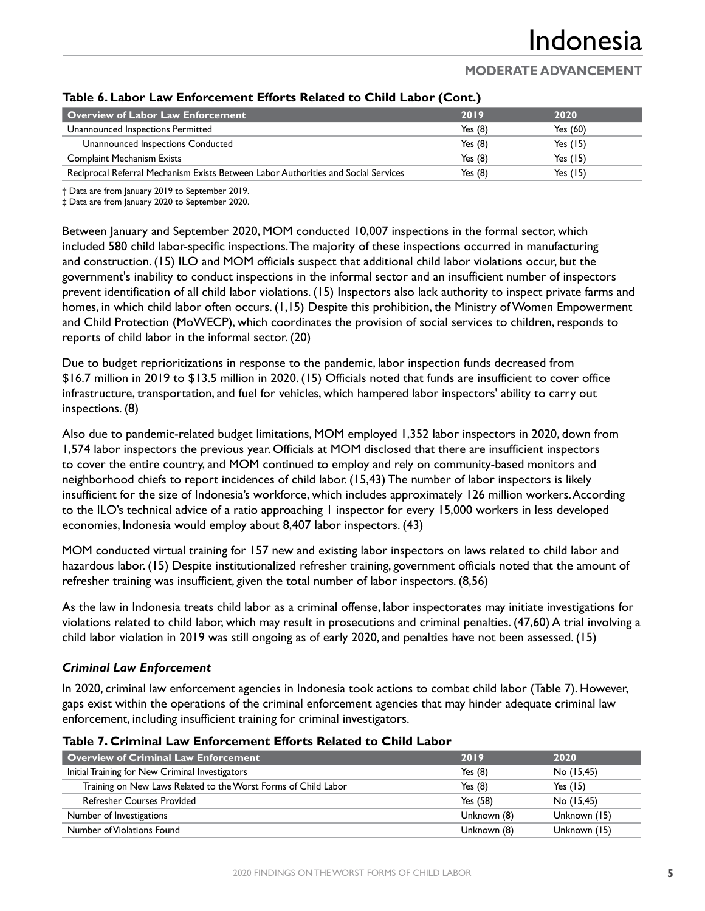## **MODERATE ADVANCEMENT**

| Overview of Labor Law Enforcement                                                  | 2019      | 2020       |  |  |  |
|------------------------------------------------------------------------------------|-----------|------------|--|--|--|
| Unannounced Inspections Permitted                                                  | Yes $(8)$ | Yes $(60)$ |  |  |  |
| Unannounced Inspections Conducted                                                  | Yes $(8)$ | Yes $(15)$ |  |  |  |
| <b>Complaint Mechanism Exists</b>                                                  | Yes $(8)$ | Yes $(15)$ |  |  |  |
| Reciprocal Referral Mechanism Exists Between Labor Authorities and Social Services | Yes $(8)$ | Yes $(15)$ |  |  |  |

#### **Table 6. Labor Law Enforcement Efforts Related to Child Labor (Cont.)**

† Data are from January 2019 to September 2019.

‡ Data are from January 2020 to September 2020.

Between January and September 2020, MOM conducted 10,007 inspections in the formal sector, which included 580 child labor-specific inspections. The majority of these inspections occurred in manufacturing and construction. (15) ILO and MOM officials suspect that additional child labor violations occur, but the government's inability to conduct inspections in the informal sector and an insufficient number of inspectors prevent identification of all child labor violations. (15) Inspectors also lack authority to inspect private farms and homes, in which child labor often occurs. (1,15) Despite this prohibition, the Ministry of Women Empowerment and Child Protection (MoWECP), which coordinates the provision of social services to children, responds to reports of child labor in the informal sector. (20)

Due to budget reprioritizations in response to the pandemic, labor inspection funds decreased from \$16.7 million in 2019 to \$13.5 million in 2020. (15) Officials noted that funds are insufficient to cover office infrastructure, transportation, and fuel for vehicles, which hampered labor inspectors' ability to carry out inspections. (8)

Also due to pandemic-related budget limitations, MOM employed 1,352 labor inspectors in 2020, down from 1,574 labor inspectors the previous year. Officials at MOM disclosed that there are insufficient inspectors to cover the entire country, and MOM continued to employ and rely on community-based monitors and neighborhood chiefs to report incidences of child labor. (15,43) The number of labor inspectors is likely insufficient for the size of Indonesia's workforce, which includes approximately 126 million workers. According to the ILO's technical advice of a ratio approaching 1 inspector for every 15,000 workers in less developed economies, Indonesia would employ about 8,407 labor inspectors. (43)

MOM conducted virtual training for 157 new and existing labor inspectors on laws related to child labor and hazardous labor. (15) Despite institutionalized refresher training, government officials noted that the amount of refresher training was insufficient, given the total number of labor inspectors. (8,56)

As the law in Indonesia treats child labor as a criminal offense, labor inspectorates may initiate investigations for violations related to child labor, which may result in prosecutions and criminal penalties. (47,60) A trial involving a child labor violation in 2019 was still ongoing as of early 2020, and penalties have not been assessed. (15)

#### *Criminal Law Enforcement*

In 2020, criminal law enforcement agencies in Indonesia took actions to combat child labor (Table 7). However, gaps exist within the operations of the criminal enforcement agencies that may hinder adequate criminal law enforcement, including insufficient training for criminal investigators.

| <b>Overview of Criminal Law Enforcement</b>                    | 2019        | 2020         |
|----------------------------------------------------------------|-------------|--------------|
| Initial Training for New Criminal Investigators                | Yes $(8)$   | No (15,45)   |
| Training on New Laws Related to the Worst Forms of Child Labor | Yes $(8)$   | Yes $(15)$   |
| <b>Refresher Courses Provided</b>                              | Yes (58)    | No (15,45)   |
| Number of Investigations                                       | Unknown (8) | Unknown (15) |
| Number of Violations Found                                     | Unknown (8) | Unknown (15) |

#### **Table 7. Criminal Law Enforcement Efforts Related to Child Labor**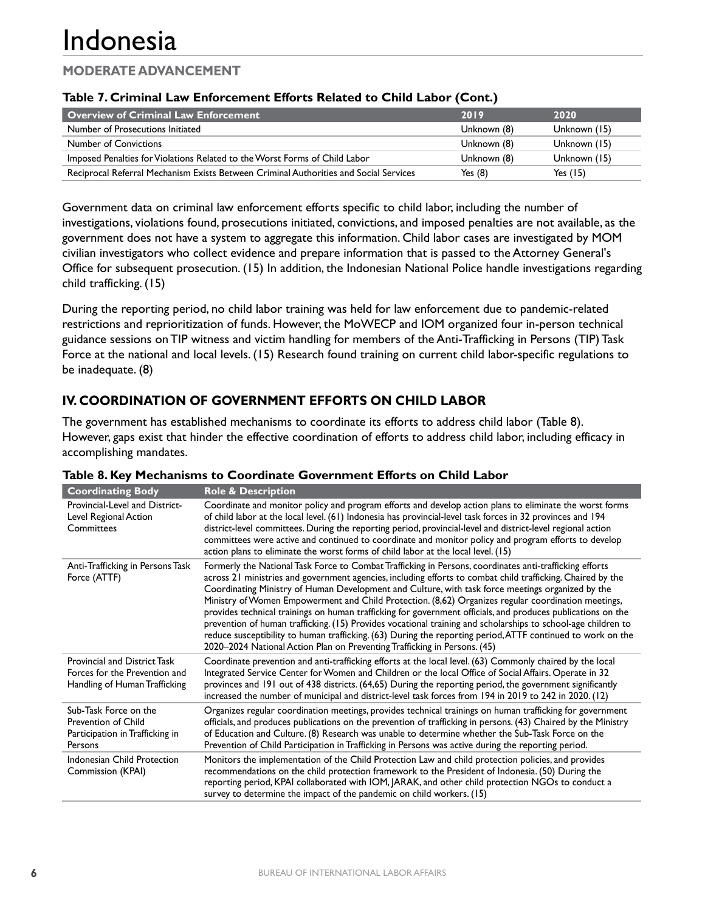## **MODERATE ADVANCEMENT**

| Overview of Criminal Law Enforcement                                                  | 2019        | 2020         |
|---------------------------------------------------------------------------------------|-------------|--------------|
| Number of Prosecutions Initiated                                                      | Unknown (8) | Unknown (15) |
| Number of Convictions                                                                 | Unknown (8) | Unknown (15) |
| Imposed Penalties for Violations Related to the Worst Forms of Child Labor            | Unknown (8) | Unknown (15) |
| Reciprocal Referral Mechanism Exists Between Criminal Authorities and Social Services | Yes $(8)$   | Yes $(15)$   |

#### **Table 7. Criminal Law Enforcement Efforts Related to Child Labor (Cont.)**

Government data on criminal law enforcement efforts specific to child labor, including the number of investigations, violations found, prosecutions initiated, convictions, and imposed penalties are not available, as the government does not have a system to aggregate this information. Child labor cases are investigated by MOM civilian investigators who collect evidence and prepare information that is passed to the Attorney General's Office for subsequent prosecution. (15) In addition, the Indonesian National Police handle investigations regarding child trafficking. (15)

During the reporting period, no child labor training was held for law enforcement due to pandemic-related restrictions and reprioritization of funds. However, the MoWECP and IOM organized four in-person technical guidance sessions on TIP witness and victim handling for members of the Anti-Trafficking in Persons (TIP) Task Force at the national and local levels. (15) Research found training on current child labor-specific regulations to be inadequate. (8)

## **IV. COORDINATION OF GOVERNMENT EFFORTS ON CHILD LABOR**

The government has established mechanisms to coordinate its efforts to address child labor (Table 8). However, gaps exist that hinder the effective coordination of efforts to address child labor, including efficacy in accomplishing mandates.

| <b>Coordinating Body</b>                                                                              | <b>Role &amp; Description</b>                                                                                                                                                                                                                                                                                                                                                                                                                                                                                                                                                                                                                                                                                                                                                                                                                                   |
|-------------------------------------------------------------------------------------------------------|-----------------------------------------------------------------------------------------------------------------------------------------------------------------------------------------------------------------------------------------------------------------------------------------------------------------------------------------------------------------------------------------------------------------------------------------------------------------------------------------------------------------------------------------------------------------------------------------------------------------------------------------------------------------------------------------------------------------------------------------------------------------------------------------------------------------------------------------------------------------|
| Provincial-Level and District-<br>Level Regional Action<br>Committees                                 | Coordinate and monitor policy and program efforts and develop action plans to eliminate the worst forms<br>of child labor at the local level. (61) Indonesia has provincial-level task forces in 32 provinces and 194<br>district-level committees. During the reporting period, provincial-level and district-level regional action<br>committees were active and continued to coordinate and monitor policy and program efforts to develop<br>action plans to eliminate the worst forms of child labor at the local level. (15)                                                                                                                                                                                                                                                                                                                               |
| Anti-Trafficking in Persons Task<br>Force (ATTF)                                                      | Formerly the National Task Force to Combat Trafficking in Persons, coordinates anti-trafficking efforts<br>across 21 ministries and government agencies, including efforts to combat child trafficking. Chaired by the<br>Coordinating Ministry of Human Development and Culture, with task force meetings organized by the<br>Ministry of Women Empowerment and Child Protection. (8,62) Organizes regular coordination meetings,<br>provides technical trainings on human trafficking for government officials, and produces publications on the<br>prevention of human trafficking. (15) Provides vocational training and scholarships to school-age children to<br>reduce susceptibility to human trafficking. (63) During the reporting period, ATTF continued to work on the<br>2020-2024 National Action Plan on Preventing Trafficking in Persons. (45) |
| <b>Provincial and District Task</b><br>Forces for the Prevention and<br>Handling of Human Trafficking | Coordinate prevention and anti-trafficking efforts at the local level. (63) Commonly chaired by the local<br>Integrated Service Center for Women and Children or the local Office of Social Affairs. Operate in 32<br>provinces and 191 out of 438 districts. (64,65) During the reporting period, the government significantly<br>increased the number of municipal and district-level task forces from 194 in 2019 to 242 in 2020. (12)                                                                                                                                                                                                                                                                                                                                                                                                                       |
| Sub-Task Force on the<br><b>Prevention of Child</b><br>Participation in Trafficking in<br>Persons     | Organizes regular coordination meetings, provides technical trainings on human trafficking for government<br>officials, and produces publications on the prevention of trafficking in persons. (43) Chaired by the Ministry<br>of Education and Culture. (8) Research was unable to determine whether the Sub-Task Force on the<br>Prevention of Child Participation in Trafficking in Persons was active during the reporting period.                                                                                                                                                                                                                                                                                                                                                                                                                          |
| Indonesian Child Protection<br>Commission (KPAI)                                                      | Monitors the implementation of the Child Protection Law and child protection policies, and provides<br>recommendations on the child protection framework to the President of Indonesia. (50) During the<br>reporting period, KPAI collaborated with IOM, JARAK, and other child protection NGOs to conduct a<br>survey to determine the impact of the pandemic on child workers. (15)                                                                                                                                                                                                                                                                                                                                                                                                                                                                           |

#### **Table 8. Key Mechanisms to Coordinate Government Efforts on Child Labor**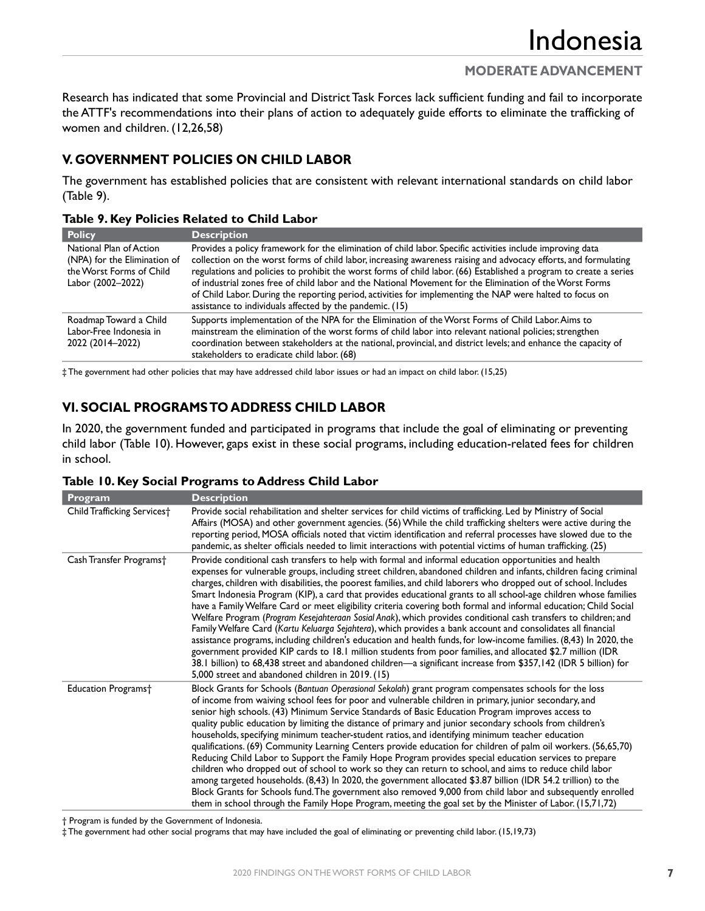Research has indicated that some Provincial and District Task Forces lack sufficient funding and fail to incorporate the ATTF's recommendations into their plans of action to adequately guide efforts to eliminate the trafficking of women and children. (12,26,58)

## **V. GOVERNMENT POLICIES ON CHILD LABOR**

The government has established policies that are consistent with relevant international standards on child labor (Table 9).

#### **Table 9. Key Policies Related to Child Labor**

| <b>Policy</b>                                                                                            | <b>Description</b>                                                                                                                                                                                                                                                                                                                                                                                                                                                                                                                                                                                                                       |
|----------------------------------------------------------------------------------------------------------|------------------------------------------------------------------------------------------------------------------------------------------------------------------------------------------------------------------------------------------------------------------------------------------------------------------------------------------------------------------------------------------------------------------------------------------------------------------------------------------------------------------------------------------------------------------------------------------------------------------------------------------|
| National Plan of Action<br>(NPA) for the Elimination of<br>the Worst Forms of Child<br>Labor (2002-2022) | Provides a policy framework for the elimination of child labor. Specific activities include improving data<br>collection on the worst forms of child labor, increasing awareness raising and advocacy efforts, and formulating<br>regulations and policies to prohibit the worst forms of child labor. (66) Established a program to create a series<br>of industrial zones free of child labor and the National Movement for the Elimination of the Worst Forms<br>of Child Labor. During the reporting period, activities for implementing the NAP were halted to focus on<br>assistance to individuals affected by the pandemic. (15) |
| Roadmap Toward a Child<br>Labor-Free Indonesia in<br>2022 (2014-2022)                                    | Supports implementation of the NPA for the Elimination of the Worst Forms of Child Labor. Aims to<br>mainstream the elimination of the worst forms of child labor into relevant national policies; strengthen<br>coordination between stakeholders at the national, provincial, and district levels; and enhance the capacity of<br>stakeholders to eradicate child labor. (68)                                                                                                                                                                                                                                                          |

‡ The government had other policies that may have addressed child labor issues or had an impact on child labor. (15,25)

## **VI. SOCIAL PROGRAMS TO ADDRESS CHILD LABOR**

In 2020, the government funded and participated in programs that include the goal of eliminating or preventing child labor (Table 10). However, gaps exist in these social programs, including education-related fees for children in school.

| Program                                 | <b>Description</b>                                                                                                                                                                                                                                                                                                                                                                                                                                                                                                                                                                                                                                                                                                                                                                                                                                                                                                                                                                                                                                                                                                                                                                                                                          |
|-----------------------------------------|---------------------------------------------------------------------------------------------------------------------------------------------------------------------------------------------------------------------------------------------------------------------------------------------------------------------------------------------------------------------------------------------------------------------------------------------------------------------------------------------------------------------------------------------------------------------------------------------------------------------------------------------------------------------------------------------------------------------------------------------------------------------------------------------------------------------------------------------------------------------------------------------------------------------------------------------------------------------------------------------------------------------------------------------------------------------------------------------------------------------------------------------------------------------------------------------------------------------------------------------|
| Child Trafficking Services <sup>+</sup> | Provide social rehabilitation and shelter services for child victims of trafficking. Led by Ministry of Social<br>Affairs (MOSA) and other government agencies. (56) While the child trafficking shelters were active during the<br>reporting period, MOSA officials noted that victim identification and referral processes have slowed due to the<br>pandemic, as shelter officials needed to limit interactions with potential victims of human trafficking. (25)                                                                                                                                                                                                                                                                                                                                                                                                                                                                                                                                                                                                                                                                                                                                                                        |
| Cash Transfer Programs†                 | Provide conditional cash transfers to help with formal and informal education opportunities and health<br>expenses for vulnerable groups, including street children, abandoned children and infants, children facing criminal<br>charges, children with disabilities, the poorest families, and child laborers who dropped out of school. Includes<br>Smart Indonesia Program (KIP), a card that provides educational grants to all school-age children whose families<br>have a Family Welfare Card or meet eligibility criteria covering both formal and informal education; Child Social<br>Welfare Program (Program Kesejahteraan Sosial Anak), which provides conditional cash transfers to children; and<br>Family Welfare Card (Kartu Keluarga Sejahtera), which provides a bank account and consolidates all financial<br>assistance programs, including children's education and health funds, for low-income families. (8,43) In 2020, the<br>government provided KIP cards to 18.1 million students from poor families, and allocated \$2.7 million (IDR<br>38.1 billion) to 68,438 street and abandoned children—a significant increase from \$357,142 (IDR 5 billion) for<br>5,000 street and abandoned children in 2019. (15) |
| Education Programs <sup>+</sup>         | Block Grants for Schools (Bantuan Operasional Sekolah) grant program compensates schools for the loss<br>of income from waiving school fees for poor and vulnerable children in primary, junior secondary, and<br>senior high schools. (43) Minimum Service Standards of Basic Education Program improves access to<br>quality public education by limiting the distance of primary and junior secondary schools from children's<br>households, specifying minimum teacher-student ratios, and identifying minimum teacher education<br>qualifications. (69) Community Learning Centers provide education for children of palm oil workers. (56,65,70)<br>Reducing Child Labor to Support the Family Hope Program provides special education services to prepare<br>children who dropped out of school to work so they can return to school, and aims to reduce child labor<br>among targeted households. (8,43) In 2020, the government allocated \$3.87 billion (IDR 54.2 trillion) to the<br>Block Grants for Schools fund. The government also removed 9,000 from child labor and subsequently enrolled<br>them in school through the Family Hope Program, meeting the goal set by the Minister of Labor. (15,71,72)                    |

|  |  |  |  |  | Table 10. Key Social Programs to Address Child Labor |
|--|--|--|--|--|------------------------------------------------------|
|--|--|--|--|--|------------------------------------------------------|

† Program is funded by the Government of Indonesia.

‡ The government had other social programs that may have included the goal of eliminating or preventing child labor. (15,19,73)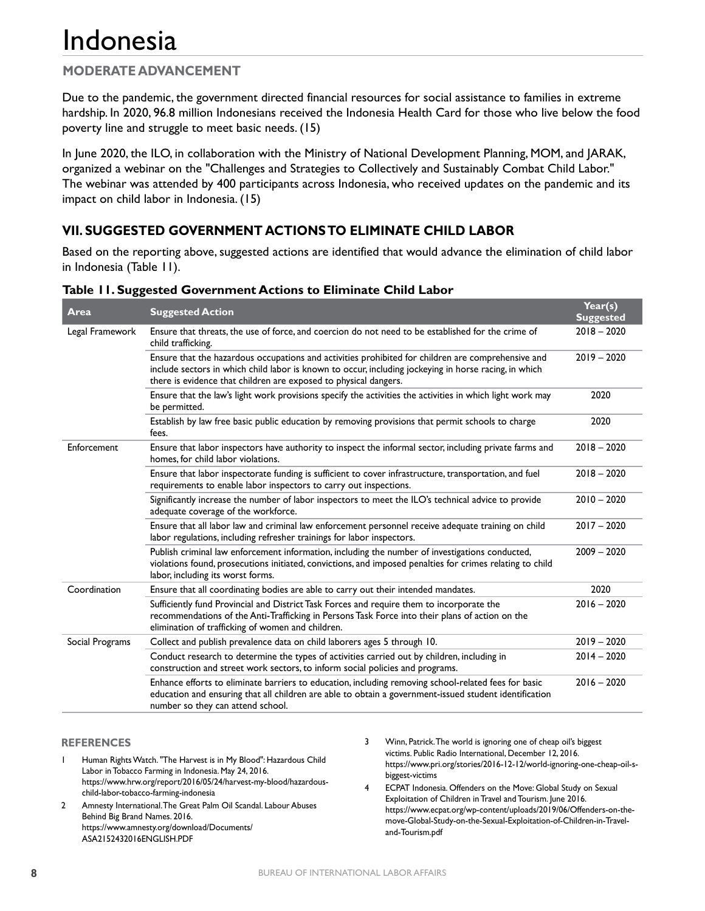## **MODERATE ADVANCEMENT**

Due to the pandemic, the government directed financial resources for social assistance to families in extreme hardship. In 2020, 96.8 million Indonesians received the Indonesia Health Card for those who live below the food poverty line and struggle to meet basic needs. (15)

In June 2020, the ILO, in collaboration with the Ministry of National Development Planning, MOM, and JARAK, organized a webinar on the "Challenges and Strategies to Collectively and Sustainably Combat Child Labor." The webinar was attended by 400 participants across Indonesia, who received updates on the pandemic and its impact on child labor in Indonesia. (15)

## **VII. SUGGESTED GOVERNMENT ACTIONS TO ELIMINATE CHILD LABOR**

Based on the reporting above, suggested actions are identified that would advance the elimination of child labor in Indonesia (Table 11).

| Area            | <b>Suggested Action</b>                                                                                                                                                                                                                                                         | Year(s)<br><b>Suggested</b> |
|-----------------|---------------------------------------------------------------------------------------------------------------------------------------------------------------------------------------------------------------------------------------------------------------------------------|-----------------------------|
| Legal Framework | Ensure that threats, the use of force, and coercion do not need to be established for the crime of<br>child trafficking.                                                                                                                                                        | $2018 - 2020$               |
|                 | Ensure that the hazardous occupations and activities prohibited for children are comprehensive and<br>include sectors in which child labor is known to occur, including jockeying in horse racing, in which<br>there is evidence that children are exposed to physical dangers. | $2019 - 2020$               |
|                 | Ensure that the law's light work provisions specify the activities the activities in which light work may<br>be permitted.                                                                                                                                                      | 2020                        |
|                 | Establish by law free basic public education by removing provisions that permit schools to charge<br>fees.                                                                                                                                                                      | 2020                        |
| Enforcement     | Ensure that labor inspectors have authority to inspect the informal sector, including private farms and<br>homes, for child labor violations.                                                                                                                                   | $2018 - 2020$               |
|                 | Ensure that labor inspectorate funding is sufficient to cover infrastructure, transportation, and fuel<br>requirements to enable labor inspectors to carry out inspections.                                                                                                     | $2018 - 2020$               |
|                 | Significantly increase the number of labor inspectors to meet the ILO's technical advice to provide<br>adequate coverage of the workforce.                                                                                                                                      | $2010 - 2020$               |
|                 | Ensure that all labor law and criminal law enforcement personnel receive adequate training on child<br>labor regulations, including refresher trainings for labor inspectors.                                                                                                   | $2017 - 2020$               |
|                 | Publish criminal law enforcement information, including the number of investigations conducted,<br>violations found, prosecutions initiated, convictions, and imposed penalties for crimes relating to child<br>labor, including its worst forms.                               | $2009 - 2020$               |
| Coordination    | Ensure that all coordinating bodies are able to carry out their intended mandates.                                                                                                                                                                                              | 2020                        |
|                 | Sufficiently fund Provincial and District Task Forces and require them to incorporate the<br>recommendations of the Anti-Trafficking in Persons Task Force into their plans of action on the<br>elimination of trafficking of women and children.                               | $2016 - 2020$               |
| Social Programs | Collect and publish prevalence data on child laborers ages 5 through 10.                                                                                                                                                                                                        | $2019 - 2020$               |
|                 | Conduct research to determine the types of activities carried out by children, including in<br>construction and street work sectors, to inform social policies and programs.                                                                                                    | $2014 - 2020$               |
|                 | Enhance efforts to eliminate barriers to education, including removing school-related fees for basic<br>education and ensuring that all children are able to obtain a government-issued student identification<br>number so they can attend school.                             | $2016 - 2020$               |

#### **Table 11. Suggested Government Actions to Eliminate Child Labor**

#### **REFERENCES**

- 1 Human Rights Watch. "The Harvest is in My Blood": Hazardous Child Labor in Tobacco Farming in Indonesia. May 24, 2016. [https://www.hrw.org/report/2016/05/24/harvest-my-blood/hazardous](https://www.hrw.org/report/2016/05/24/harvest-my-blood/hazardous-child-labor-tobacco-farming-indonesia)[child-labor-tobacco-farming-indonesia](https://www.hrw.org/report/2016/05/24/harvest-my-blood/hazardous-child-labor-tobacco-farming-indonesia)
- 2 Amnesty International. The Great Palm Oil Scandal. Labour Abuses Behind Big Brand Names. 2016. [https://www.amnesty.org/download/Documents/](https://www.amnesty.org/download/Documents/ASA2152432016ENGLISH.PDF) [ASA2152432016ENGLISH.PDF](https://www.amnesty.org/download/Documents/ASA2152432016ENGLISH.PDF)
- 3 Winn, Patrick. The world is ignoring one of cheap oil's biggest victims. Public Radio International, December 12, 2016. [https://www.pri.org/stories/2016-12-12/world-ignoring-one-cheap-oil-s](https://www.pri.org/stories/2016-12-12/world-ignoring-one-cheap-oil-s-biggest-victims)[biggest-victims](https://www.pri.org/stories/2016-12-12/world-ignoring-one-cheap-oil-s-biggest-victims)
- ECPAT Indonesia. Offenders on the Move: Global Study on Sexual Exploitation of Children in Travel and Tourism. June 2016. [https://www.ecpat.org/wp-content/uploads/2019/06/Offenders-on-the](https://www.ecpat.org/wp-content/uploads/2019/06/Offenders-on-the-move-Global-Study-on-the-Sexual-Exploitation-of-Children-in-Travel-and-Tourism.pdf)[move-Global-Study-on-the-Sexual-Exploitation-of-Children-in-Travel](https://www.ecpat.org/wp-content/uploads/2019/06/Offenders-on-the-move-Global-Study-on-the-Sexual-Exploitation-of-Children-in-Travel-and-Tourism.pdf)[and-Tourism.pdf](https://www.ecpat.org/wp-content/uploads/2019/06/Offenders-on-the-move-Global-Study-on-the-Sexual-Exploitation-of-Children-in-Travel-and-Tourism.pdf)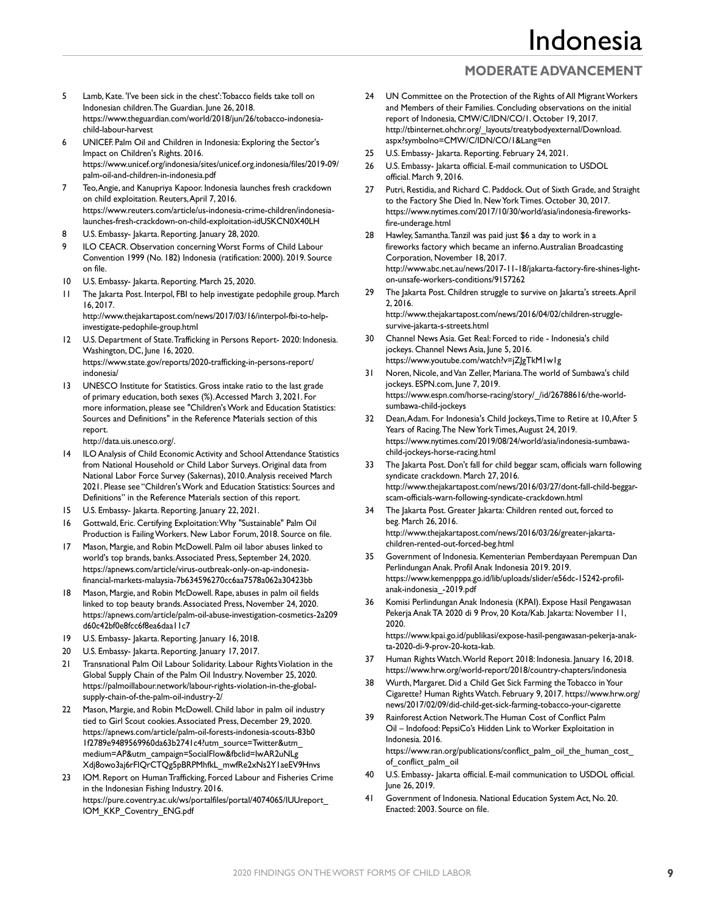### **MODERATE ADVANCEMENT**

- 5 Lamb, Kate. 'I've been sick in the chest': Tobacco fields take toll on Indonesian children. The Guardian. June 26, 2018. [https://www.theguardian.com/world/2018/jun/26/tobacco-indonesia](https://www.theguardian.com/world/2018/jun/26/tobacco-indonesia-child-labour-harvest)[child-labour-harvest](https://www.theguardian.com/world/2018/jun/26/tobacco-indonesia-child-labour-harvest)
- 6 UNICEF. Palm Oil and Children in Indonesia: Exploring the Sector's Impact on Children's Rights. 2016. [https://www.unicef.org/indonesia/sites/unicef.org.indonesia/files/2019-09/](https://www.unicef.org/indonesia/sites/unicef.org.indonesia/files/2019-09/palm-oil-and-children-in-indonesia.pdf) [palm-oil-and-children-in-indonesia.pdf](https://www.unicef.org/indonesia/sites/unicef.org.indonesia/files/2019-09/palm-oil-and-children-in-indonesia.pdf)
- 7 Teo, Angie, and Kanupriya Kapoor. Indonesia launches fresh crackdown on child exploitation. Reuters, April 7, 2016. [https://www.reuters.com/article/us-indonesia-crime-children/indonesia](https://www.reuters.com/article/us-indonesia-crime-children/indonesia-launches-fresh-crackdown-on-child-exploitation-idUSKCN0X40LH)[launches-fresh-crackdown-on-child-exploitation-idUSKCN0X40LH](https://www.reuters.com/article/us-indonesia-crime-children/indonesia-launches-fresh-crackdown-on-child-exploitation-idUSKCN0X40LH)
- 8 U.S. Embassy- Jakarta. Reporting. January 28, 2020.
- 9 ILO CEACR. Observation concerning Worst Forms of Child Labour Convention 1999 (No. 182) Indonesia (ratification: 2000). 2019. Source on file.
- 10 U.S. Embassy- Jakarta. Reporting. March 25, 2020.
- 11 The Jakarta Post. Interpol, FBI to help investigate pedophile group. March 16, 2017.
	- [http://www.thejakartapost.com/news/2017/03/16/interpol-fbi-to-help](http://www.thejakartapost.com/news/2017/03/16/interpol-fbi-to-help-investigate-pedophile-group.html)[investigate-pedophile-group.html](http://www.thejakartapost.com/news/2017/03/16/interpol-fbi-to-help-investigate-pedophile-group.html)
- 12 U.S. Department of State. Trafficking in Persons Report- 2020: Indonesia. Washington, DC, June 16, 2020. [https://www.state.gov/reports/2020-trafficking-in-persons-report/](https://www.state.gov/reports/2020-trafficking-in-persons-report/indonesia/) [indonesia/](https://www.state.gov/reports/2020-trafficking-in-persons-report/indonesia/)
- 13 UNESCO Institute for Statistics. Gross intake ratio to the last grade of primary education, both sexes (%). Accessed March 3, 2021. For more information, please see "Children's Work and Education Statistics: Sources and Definitions" in the Reference Materials section of this report.
	- [http://data.uis.unesco.org/.](http://data.uis.unesco.org/)
- 14 ILO Analysis of Child Economic Activity and School Attendance Statistics from National Household or Child Labor Surveys. Original data from National Labor Force Survey (Sakernas), 2010. Analysis received March 2021. Please see "Children's Work and Education Statistics: Sources and Definitions" in the Reference Materials section of this report.
- 15 U.S. Embassy- Jakarta. Reporting. January 22, 2021.
- 16 Gottwald, Eric. Certifying Exploitation: Why "Sustainable" Palm Oil Production is Failing Workers. New Labor Forum, 2018. Source on file.
- 17 Mason, Margie, and Robin McDowell. Palm oil labor abuses linked to world's top brands, banks. Associated Press, September 24, 2020. [https://apnews.com/article/virus-outbreak-only-on-ap-indonesia](https://apnews.com/article/virus-outbreak-only-on-ap-indonesia-financial-markets-malaysia-7b634596270cc6aa7578a062a30423bb)[financial-markets-malaysia-7b634596270cc6aa7578a062a30423bb](https://apnews.com/article/virus-outbreak-only-on-ap-indonesia-financial-markets-malaysia-7b634596270cc6aa7578a062a30423bb)
- 18 Mason, Margie, and Robin McDowell. Rape, abuses in palm oil fields linked to top beauty brands. Associated Press, November 24, 2020. [https://apnews.com/article/palm-oil-abuse-investigation-cosmetics-2a209](https://apnews.com/article/palm-oil-abuse-investigation-cosmetics-2a209d60c42bf0e8fcc6f8ea6daa11c7) [d60c42bf0e8fcc6f8ea6daa11c7](https://apnews.com/article/palm-oil-abuse-investigation-cosmetics-2a209d60c42bf0e8fcc6f8ea6daa11c7)
- 19 U.S. Embassy- Jakarta. Reporting. January 16, 2018.
- 20 U.S. Embassy- Jakarta. Reporting. January 17, 2017.
- 21 Transnational Palm Oil Labour Solidarity. Labour Rights Violation in the Global Supply Chain of the Palm Oil Industry. November 25, 2020. [https://palmoillabour.network/labour-rights-violation-in-the-global](https://palmoillabour.network/labour-rights-violation-in-the-global-supply-chain-of-the-palm-oil-industry-2/)[supply-chain-of-the-palm-oil-industry-2/](https://palmoillabour.network/labour-rights-violation-in-the-global-supply-chain-of-the-palm-oil-industry-2/)
- 22 Mason, Margie, and Robin McDowell. Child labor in palm oil industry tied to Girl Scout cookies. Associated Press, December 29, 2020. [https://apnews.com/article/palm-oil-forests-indonesia-scouts-83b0](https://apnews.com/article/palm-oil-forests-indonesia-scouts-83b01f2789e9489569960da63b2741c4?utm_source=Twitter&utm_medium=AP&utm_campaign=SocialFlow&fbclid=IwAR2uNLgXdj8owo3aj6rFIQrCTQg5pBRPMhfkL_mwfRe2xNs2Y1aeEV9Hnvs) [1f2789e9489569960da63b2741c4?utm\\_source=Twitter&utm\\_](https://apnews.com/article/palm-oil-forests-indonesia-scouts-83b01f2789e9489569960da63b2741c4?utm_source=Twitter&utm_medium=AP&utm_campaign=SocialFlow&fbclid=IwAR2uNLgXdj8owo3aj6rFIQrCTQg5pBRPMhfkL_mwfRe2xNs2Y1aeEV9Hnvs) [medium=AP&utm\\_campaign=SocialFlow&fbclid=IwAR2uNLg](https://apnews.com/article/palm-oil-forests-indonesia-scouts-83b01f2789e9489569960da63b2741c4?utm_source=Twitter&utm_medium=AP&utm_campaign=SocialFlow&fbclid=IwAR2uNLgXdj8owo3aj6rFIQrCTQg5pBRPMhfkL_mwfRe2xNs2Y1aeEV9Hnvs)  [Xdj8owo3aj6rFIQrCTQg5pBRPMhfkL\\_mwfRe2xNs2Y1aeEV9Hnvs](https://apnews.com/article/palm-oil-forests-indonesia-scouts-83b01f2789e9489569960da63b2741c4?utm_source=Twitter&utm_medium=AP&utm_campaign=SocialFlow&fbclid=IwAR2uNLgXdj8owo3aj6rFIQrCTQg5pBRPMhfkL_mwfRe2xNs2Y1aeEV9Hnvs)
- 23 IOM. Report on Human Trafficking, Forced Labour and Fisheries Crime in the Indonesian Fishing Industry. 2016. https://pure.coventry.ac.uk/ws/portalfiles/portal/4074065/IUUreport\_ IOM\_KKP\_Coventry\_ENG.pdf
- 24 UN Committee on the Protection of the Rights of All Migrant Workers and Members of their Families. Concluding observations on the initial report of Indonesia, CMW/C/IDN/CO/1. October 19, 2017. [http://tbinternet.ohchr.org/\\_layouts/treatybodyexternal/Download.](http://tbinternet.ohchr.org/_layouts/treatybodyexternal/Download.aspx?symbolno=CMW/C/IDN/CO/1&Lang=en) [aspx?symbolno=CMW/C/IDN/CO/1&Lang=en](http://tbinternet.ohchr.org/_layouts/treatybodyexternal/Download.aspx?symbolno=CMW/C/IDN/CO/1&Lang=en)
- 25 U.S. Embassy- Jakarta. Reporting. February 24, 2021.
- 26 U.S. Embassy- Jakarta official. E-mail communication to USDOL official. March 9, 2016.
- 27 Putri, Restidia, and Richard C. Paddock. Out of Sixth Grade, and Straight to the Factory She Died In. New York Times. October 30, 2017. [https://www.nytimes.com/2017/10/30/world/asia/indonesia-fireworks](https://www.nytimes.com/2017/10/30/world/asia/indonesia-fireworks-fire-underage.html)[fire-underage.html](https://www.nytimes.com/2017/10/30/world/asia/indonesia-fireworks-fire-underage.html)
- 28 Hawley, Samantha. Tanzil was paid just \$6 a day to work in a fireworks factory which became an inferno. Australian Broadcasting Corporation, November 18, 2017. [http://www.abc.net.au/news/2017-11-18/jakarta-factory-fire-shines-light](http://www.abc.net.au/news/2017-11-18/jakarta-factory-fire-shines-light-on-unsafe-workers-conditions/9157262)[on-unsafe-workers-conditions/9157262](http://www.abc.net.au/news/2017-11-18/jakarta-factory-fire-shines-light-on-unsafe-workers-conditions/9157262)
- 29 The Jakarta Post. Children struggle to survive on Jakarta's streets. April 2, 2016. [http://www.thejakartapost.com/news/2016/04/02/children-struggle](http://www.thejakartapost.com/news/2016/04/02/children-struggle-survive-jakarta-s-streets.html)[survive-jakarta-s-streets.html](http://www.thejakartapost.com/news/2016/04/02/children-struggle-survive-jakarta-s-streets.html)
- 30 Channel News Asia. Get Real: Forced to ride Indonesia's child jockeys. Channel News Asia, June 5, 2016. <https://www.youtube.com/watch?v=jZJgTkM1w1g>
- Noren, Nicole, and Van Zeller, Mariana. The world of Sumbawa's child jockeys. ESPN.com, June 7, 2019. [https://www.espn.com/horse-racing/story/\\_/id/26788616/the-world](https://www.espn.com/horse-racing/story/_/id/26788616/the-world-sumbawa-child-jockeys)[sumbawa-child-jockeys](https://www.espn.com/horse-racing/story/_/id/26788616/the-world-sumbawa-child-jockeys)
- 32 Dean, Adam. For Indonesia's Child Jockeys, Time to Retire at 10, After 5 Years of Racing. The New York Times, August 24, 2019. [https://www.nytimes.com/2019/08/24/world/asia/indonesia-sumbawa](https://www.nytimes.com/2019/08/24/world/asia/indonesia-sumbawa-child-jockeys-horse-racing.html)[child-jockeys-horse-racing.html](https://www.nytimes.com/2019/08/24/world/asia/indonesia-sumbawa-child-jockeys-horse-racing.html)
- 33 The Jakarta Post. Don't fall for child beggar scam, officials warn following syndicate crackdown. March 27, 2016. [http://www.thejakartapost.com/news/2016/03/27/dont-fall-child-beggar](http://www.thejakartapost.com/news/2016/03/27/dont-fall-child-beggar-scam-officials-warn-following-syndicate-crackdown.html)[scam-officials-warn-following-syndicate-crackdown.html](http://www.thejakartapost.com/news/2016/03/27/dont-fall-child-beggar-scam-officials-warn-following-syndicate-crackdown.html)
- 34 The Jakarta Post. Greater Jakarta: Children rented out, forced to beg. March 26, 2016. [http://www.thejakartapost.com/news/2016/03/26/greater-jakarta](http://www.thejakartapost.com/news/2016/03/26/greater-jakarta-children-rented-out-forced-beg.html)[children-rented-out-forced-beg.html](http://www.thejakartapost.com/news/2016/03/26/greater-jakarta-children-rented-out-forced-beg.html)
- 35 Government of Indonesia. Kementerian Pemberdayaan Perempuan Dan Perlindungan Anak. Profil Anak Indonesia 2019. 2019. [https://www.kemenpppa.go.id/lib/uploads/slider/e56dc-15242-profil](https://www.kemenpppa.go.id/lib/uploads/slider/e56dc-15242-profil-anak-indonesia_-2019.pdf)[anak-indonesia\\_-2019.pdf](https://www.kemenpppa.go.id/lib/uploads/slider/e56dc-15242-profil-anak-indonesia_-2019.pdf)
- 36 Komisi Perlindungan Anak Indonesia (KPAI). Expose Hasil Pengawasan Pekerja Anak TA 2020 di 9 Prov, 20 Kota/Kab. Jakarta: November 11, 2020.

[https://www.kpai.go.id/publikasi/expose-hasil-pengawasan-pekerja-anak](https://www.kpai.go.id/publikasi/expose-hasil-pengawasan-pekerja-anak-ta-2020-di-9-prov-20-kota-kab.)[ta-2020-di-9-prov-20-kota-kab.](https://www.kpai.go.id/publikasi/expose-hasil-pengawasan-pekerja-anak-ta-2020-di-9-prov-20-kota-kab.)

- 37 Human Rights Watch. World Report 2018: Indonesia. January 16, 2018. <https://www.hrw.org/world-report/2018/country-chapters/indonesia>
- 38 Wurth, Margaret. Did a Child Get Sick Farming the Tobacco in Your Cigarette? Human Rights Watch. February 9, 2017. [https://www.hrw.org/](https://www.hrw.org/news/2017/02/09/did-child-get-sick-farming-tobacco-your-cigarette) [news/2017/02/09/did-child-get-sick-farming-tobacco-your-cigarette](https://www.hrw.org/news/2017/02/09/did-child-get-sick-farming-tobacco-your-cigarette)
- 39 Rainforest Action Network. The Human Cost of Conflict Palm Oil – Indofood: PepsiCo's Hidden Link to Worker Exploitation in Indonesia. 2016. [https://www.ran.org/publications/conflict\\_palm\\_oil\\_the\\_human\\_cost\\_](https://www.ran.org/publications/conflict_palm_oil_the_human_cost_of_conflict_palm_oil) of conflict palm oil
- U.S. Embassy- Jakarta official. E-mail communication to USDOL official. June 26, 2019.
- Government of Indonesia. National Education System Act, No. 20. Enacted: 2003. Source on file.